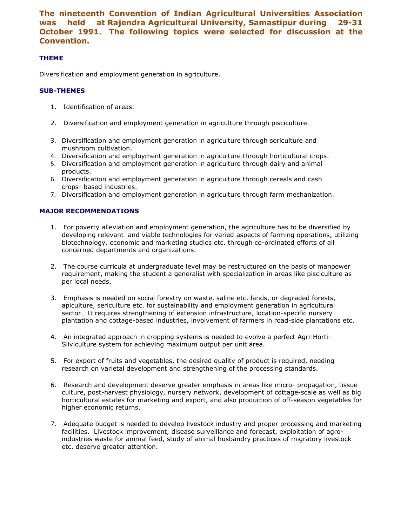The nineteenth Convention of Indian Agricultural Universities Association was held at Rajendra Agricultural University, Samastipur during 29-31 October 1991. The following topics were selected for discussion at the Convention.

## THEME

Diversification and employment generation in agriculture.

## SUB-THEMES

- 1. Identification of areas.
- 2. Diversification and employment generation in agriculture through pisciculture.
- 3. Diversification and employment generation in agriculture through sericulture and mushroom cultivation.
- 4. Diversification and employment generation in agriculture through horticultural crops.
- 5. Diversification and employment generation in agriculture through dairy and animal products.
- 6. Diversification and employment generation in agriculture through cereals and cash crops- based industries.
- 7. Diversification and employment generation in agriculture through farm mechanization.

## MAJOR RECOMMENDATIONS

- 1. For poverty alleviation and employment generation, the agriculture has to be diversified by developing relevant and viable technologies for varied aspects of farming operations, utilizing biotechnology, economic and marketing studies etc. through co-ordinated efforts of all concerned departments and organizations.
- 2. The course curricula at undergraduate level may be restructured on the basis of manpower requirement, making the student a generalist with specialization in areas like pisciculture as per local needs.
- 3. Emphasis is needed on social forestry on waste, saline etc. lands, or degraded forests, apiculture, sericulture etc. for sustainability and employment generation in agricultural sector. It requires strengthening of extension infrastructure, location-specific nursery plantation and cottage-based industries, involvement of farmers in road-side plantations etc.
- 4. An integrated approach in cropping systems is needed to evolve a perfect Agri-Horti-Silviculture system for achieving maximum output per unit area.
- 5. For export of fruits and vegetables, the desired quality of product is required, needing research on varietal development and strengthening of the processing standards.
- 6. Research and development deserve greater emphasis in areas like micro- propagation, tissue culture, post-harvest physiology, nursery network, development of cottage-scale as well as big horticultural estates for marketing and export, and also production of off-season vegetables for higher economic returns.
- 7. Adequate budget is needed to develop livestock industry and proper processing and marketing facilities. Livestock improvement, disease surveillance and forecast, exploitation of agroindustries waste for animal feed, study of animal husbandry practices of migratory livestock etc. deserve greater attention.